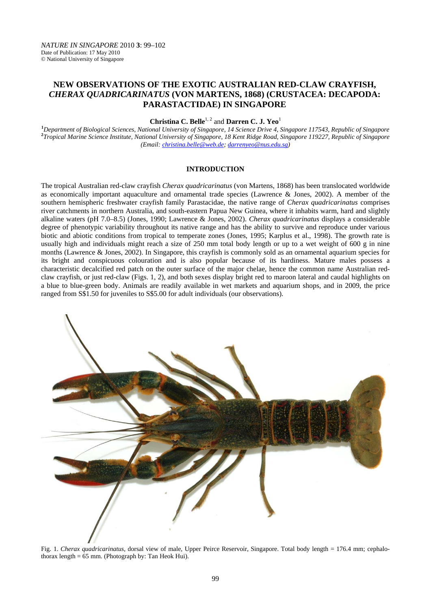# **NEW OBSERVATIONS OF THE EXOTIC AUSTRALIAN RED-CLAW CRAYFISH,**  *CHERAX QUADRICARINATUS* **(VON MARTENS, 1868) (CRUSTACEA: DECAPODA: PARASTACTIDAE) IN SINGAPORE**

**Christina C. Belle**<sup>1, 2</sup> and **Darren C. J. Yeo**<sup>1</sup>

<sup>1</sup> Department of Biological Sciences, National University of Singapore, 14 Science Drive 4, Singapore 117543, Republic of Singapore <sup>2</sup><br><sup>2</sup> Tranical Marine Science Institute, National University of Singapore, 18 Kent Bidg *Tropical Marine Science Institute, National University of Singapore, 18 Kent Ridge Road, Singapore 119227, Republic of Singapore (Email: christina.belle@web.de; darrenyeo@nus.edu.sg)* 

## **INTRODUCTION**

The tropical Australian red-claw crayfish *Cherax quadricarinatus* (von Martens, 1868) has been translocated worldwide as economically important aquaculture and ornamental trade species (Lawrence & Jones, 2002). A member of the southern hemispheric freshwater crayfish family Parastacidae, the native range of *Cherax quadricarinatus* comprises river catchments in northern Australia, and south-eastern Papua New Guinea, where it inhabits warm, hard and slightly alkaline waters (pH 7.0–8.5) (Jones, 1990; Lawrence & Jones, 2002). *Cherax quadricarinatus* displays a considerable degree of phenotypic variability throughout its native range and has the ability to survive and reproduce under various biotic and abiotic conditions from tropical to temperate zones (Jones, 1995; Karplus et al., 1998). The growth rate is usually high and individuals might reach a size of 250 mm total body length or up to a wet weight of 600 g in nine months (Lawrence & Jones, 2002). In Singapore, this crayfish is commonly sold as an ornamental aquarium species for its bright and conspicuous colouration and is also popular because of its hardiness. Mature males possess a characteristic decalcified red patch on the outer surface of the major chelae, hence the common name Australian redclaw crayfish, or just red-claw (Figs. 1, 2), and both sexes display bright red to maroon lateral and caudal highlights on a blue to blue-green body. Animals are readily available in wet markets and aquarium shops, and in 2009, the price ranged from S\$1.50 for juveniles to S\$5.00 for adult individuals (our observations).



Fig. 1. *Cherax quadricarinatus,* dorsal view of male, Upper Peirce Reservoir, Singapore. Total body length = 176.4 mm; cephalothorax length  $= 65$  mm. (Photograph by: Tan Heok Hui).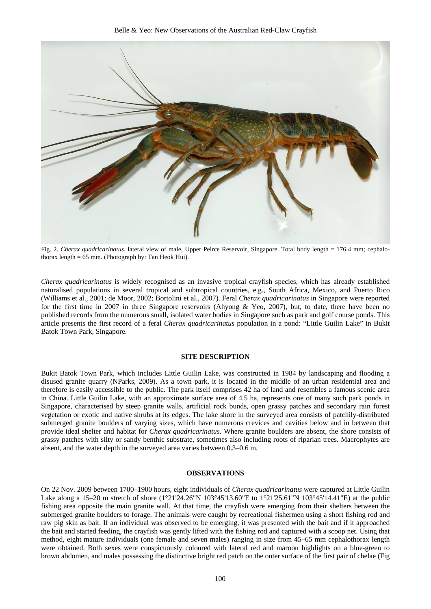

Fig. 2. *Cherax quadricarinatus,* lateral view of male, Upper Peirce Reservoir, Singapore. Total body length = 176.4 mm; cephalothorax length  $= 65$  mm. (Photograph by: Tan Heok Hui).

*Cherax quadricarinatus* is widely recognised as an invasive tropical crayfish species, which has already established naturalised populations in several tropical and subtropical countries, e.g., South Africa, Mexico, and Puerto Rico (Williams et al., 2001; de Moor, 2002; Bortolini et al., 2007). Feral *Cherax quadricarinatus* in Singapore were reported for the first time in 2007 in three Singapore reservoirs (Ahyong & Yeo, 2007), but, to date, there have been no published records from the numerous small, isolated water bodies in Singapore such as park and golf course ponds. This article presents the first record of a feral *Cherax quadricarinatus* population in a pond: "Little Guilin Lake" in Bukit Batok Town Park, Singapore.

### **SITE DESCRIPTION**

Bukit Batok Town Park, which includes Little Guilin Lake, was constructed in 1984 by landscaping and flooding a disused granite quarry (NParks, 2009). As a town park, it is located in the middle of an urban residential area and therefore is easily accessible to the public. The park itself comprises 42 ha of land and resembles a famous scenic area in China. Little Guilin Lake, with an approximate surface area of 4.5 ha, represents one of many such park ponds in Singapore, characterised by steep granite walls, artificial rock bunds, open grassy patches and secondary rain forest vegetation or exotic and native shrubs at its edges. The lake shore in the surveyed area consists of patchily-distributed submerged granite boulders of varying sizes, which have numerous crevices and cavities below and in between that provide ideal shelter and habitat for *Cherax quadricarinatus*. Where granite boulders are absent, the shore consists of grassy patches with silty or sandy benthic substrate, sometimes also including roots of riparian trees. Macrophytes are absent, and the water depth in the surveyed area varies between 0.3–0.6 m.

## **OBSERVATIONS**

On 22 Nov. 2009 between 1700–1900 hours, eight individuals of *Cherax quadricarinatus* were captured at Little Guilin Lake along a 15–20 m stretch of shore (1°21'24.26"N 103°45'13.60"E to 1°21'25.61"N 103°45'14.41"E) at the public fishing area opposite the main granite wall. At that time, the crayfish were emerging from their shelters between the submerged granite boulders to forage. The animals were caught by recreational fishermen using a short fishing rod and raw pig skin as bait. If an individual was observed to be emerging, it was presented with the bait and if it approached the bait and started feeding, the crayfish was gently lifted with the fishing rod and captured with a scoop net. Using that method, eight mature individuals (one female and seven males) ranging in size from 45–65 mm cephalothorax length were obtained. Both sexes were conspicuously coloured with lateral red and maroon highlights on a blue-green to brown abdomen, and males possessing the distinctive bright red patch on the outer surface of the first pair of chelae (Fig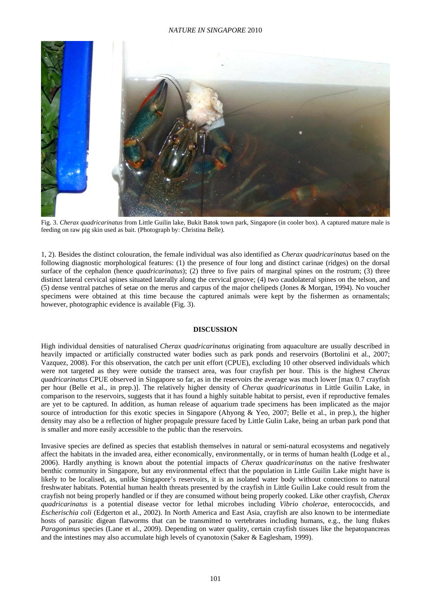

Fig. 3. *Cherax quadricarinatus* from Little Guilin lake, Bukit Batok town park, Singapore (in cooler box). A captured mature male is feeding on raw pig skin used as bait. (Photograph by: Christina Belle).

1, 2). Besides the distinct colouration, the female individual was also identified as *Cherax quadricarinatus* based on the following diagnostic morphological features: (1) the presence of four long and distinct carinae (ridges) on the dorsal surface of the cephalon (hence *quadricarinatus*); (2) three to five pairs of marginal spines on the rostrum; (3) three distinct lateral cervical spines situated laterally along the cervical groove; (4) two caudolateral spines on the telson, and (5) dense ventral patches of setae on the merus and carpus of the major chelipeds (Jones & Morgan, 1994). No voucher specimens were obtained at this time because the captured animals were kept by the fishermen as ornamentals; however, photographic evidence is available (Fig. 3).

### **DISCUSSION**

High individual densities of naturalised *Cherax quadricarinatus* originating from aquaculture are usually described in heavily impacted or artificially constructed water bodies such as park ponds and reservoirs (Bortolini et al., 2007; Vazquez, 2008). For this observation, the catch per unit effort (CPUE), excluding 10 other observed individuals which were not targeted as they were outside the transect area, was four crayfish per hour. This is the highest *Cherax quadricarinatus* CPUE observed in Singapore so far, as in the reservoirs the average was much lower [max 0.7 crayfish per hour (Belle et al., in prep.)]. The relatively higher density of *Cherax quadricarinatus* in Little Guilin Lake, in comparison to the reservoirs, suggests that it has found a highly suitable habitat to persist, even if reproductive females are yet to be captured. In addition, as human release of aquarium trade specimens has been implicated as the major source of introduction for this exotic species in Singapore (Ahyong & Yeo, 2007; Belle et al., in prep.), the higher density may also be a reflection of higher propagule pressure faced by Little Gulin Lake, being an urban park pond that is smaller and more easily accessible to the public than the reservoirs.

Invasive species are defined as species that establish themselves in natural or semi-natural ecosystems and negatively affect the habitats in the invaded area, either economically, environmentally, or in terms of human health (Lodge et al., 2006). Hardly anything is known about the potential impacts of *Cherax quadricarinatus* on the native freshwater benthic community in Singapore, but any environmental effect that the population in Little Guilin Lake might have is likely to be localised, as, unlike Singapore's reservoirs, it is an isolated water body without connections to natural freshwater habitats. Potential human health threats presented by the crayfish in Little Guilin Lake could result from the crayfish not being properly handled or if they are consumed without being properly cooked. Like other crayfish, *Cherax quadricarinatus* is a potential disease vector for lethal microbes including *Vibrio cholerae*, enterococcids, and *Escherischia coli* (Edgerton et al., 2002). In North America and East Asia, crayfish are also known to be intermediate hosts of parasitic digean flatworms that can be transmitted to vertebrates including humans, e.g., the lung flukes *Paragonimus* species (Lane et al., 2009). Depending on water quality, certain crayfish tissues like the hepatopancreas and the intestines may also accumulate high levels of cyanotoxin (Saker & Eaglesham, 1999).